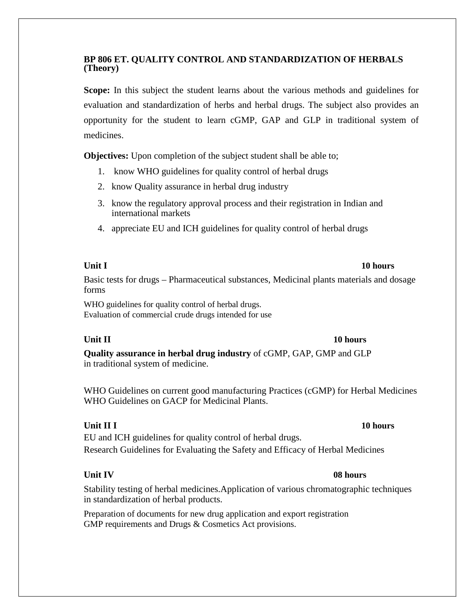### **BP 806 ET. QUALITY CONTROL AND STANDARDIZATION OF HERBALS (Theory)**

**Scope:** In this subject the student learns about the various methods and guidelines for evaluation and standardization of herbs and herbal drugs. The subject also provides an opportunity for the student to learn cGMP, GAP and GLP in traditional system of medicines.

**Objectives:** Upon completion of the subject student shall be able to;

- 1. know WHO guidelines for quality control of herbal drugs
- 2. know Quality assurance in herbal drug industry
- 3. know the regulatory approval process and their registration in Indian and international markets
- 4. appreciate EU and ICH guidelines for quality control of herbal drugs

Basic tests for drugs – Pharmaceutical substances, Medicinal plants materials and dosage forms

WHO guidelines for quality control of herbal drugs. Evaluation of commercial crude drugs intended for use

# **Unit II 10 hours**

**Quality assurance in herbal drug industry** of cGMP, GAP, GMP and GLP in traditional system of medicine.

WHO Guidelines on current good manufacturing Practices (cGMP) for Herbal Medicines WHO Guidelines on GACP for Medicinal Plants.

### **Unit II I 10 hours**

EU and ICH guidelines for quality control of herbal drugs. Research Guidelines for Evaluating the Safety and Efficacy of Herbal Medicines

# **Unit IV 08 hours**

Stability testing of herbal medicines.Application of various chromatographic techniques in standardization of herbal products.

Preparation of documents for new drug application and export registration GMP requirements and Drugs & Cosmetics Act provisions.

# **Unit I 10 hours**